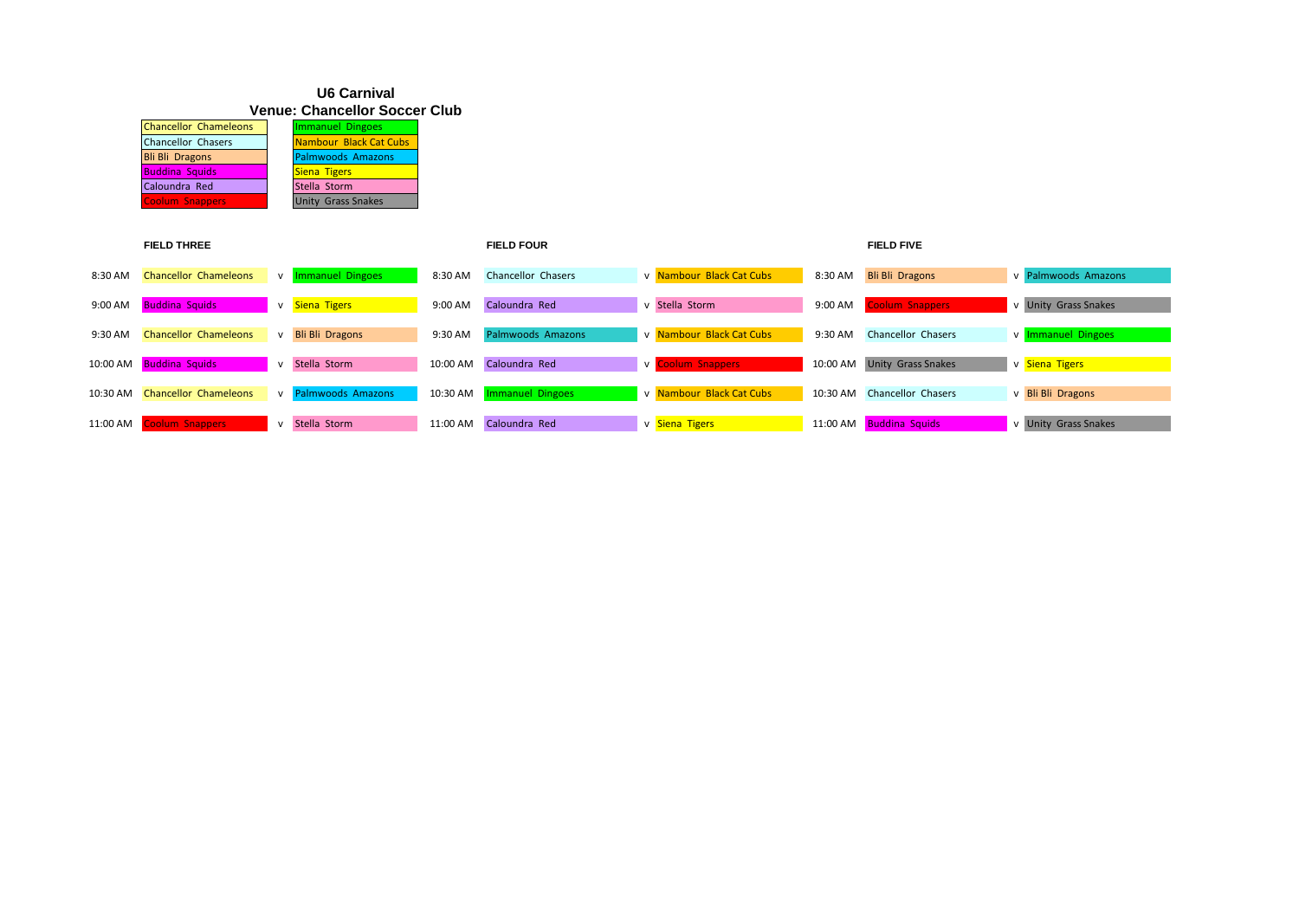## **U6 Carnival Venue: Chancellor Soccer Club**

| <b>Chancellor Chameleons</b> | Immanuel Dingoes          |
|------------------------------|---------------------------|
| <b>Chancellor Chasers</b>    | Nambour Black Cat Cubs    |
| <b>Bli Bli Dragons</b>       | <b>Palmwoods Amazons</b>  |
| <b>Buddina Squids</b>        | <b>Siena Tigers</b>       |
| Caloundra Red                | Stella Storm              |
| <b>Coolum Snappers</b>       | <b>Unity Grass Snakes</b> |

|            | <b>FIELD THREE</b>           |              |                          |          | <b>FIELD FOUR</b>       |                          |          | <b>FIELD FIVE</b>           |                      |
|------------|------------------------------|--------------|--------------------------|----------|-------------------------|--------------------------|----------|-----------------------------|----------------------|
| 8:30 AM    | <b>Chancellor Chameleons</b> |              | v Immanuel Dingoes       | 8:30 AM  | Chancellor Chasers      | v Nambour Black Cat Cubs | 8:30 AM  | <b>Bli Bli Dragons</b>      | v Palmwoods Amazons  |
| 9:00 AM    | <b>Buddina Squids</b>        |              | v Siena Tigers           | 9:00 AM  | Caloundra Red           | v Stella Storm           | 9:00 AM  | <b>Coolum Snappers</b>      | v Unity Grass Snakes |
| 9:30 AM    | <b>Chancellor Chameleons</b> | $\mathsf{v}$ | <b>Bli Bli Dragons</b>   | 9:30 AM  | Palmwoods Amazons       | v Nambour Black Cat Cubs | 9:30 AM  | <b>Chancellor Chasers</b>   | v Immanuel Dingoes   |
| 10:00 AM   | <b>Buddina Squids</b>        | $\mathsf{v}$ | Stella Storm             | 10:00 AM | Caloundra Red           | v Coolum Snappers        |          | 10:00 AM Unity Grass Snakes | v Siena Tigers       |
| $10:30$ AM | <b>Chancellor Chameleons</b> | $\mathsf{v}$ | <b>Palmwoods Amazons</b> | 10:30 AM | <b>Immanuel Dingoes</b> | v Nambour Black Cat Cubs |          | 10:30 AM Chancellor Chasers | v Bli Bli Dragons    |
| 11:00 AM   | Coolum Snappers              | $\mathsf{v}$ | Stella Storm             | 11:00 AM | Caloundra Red           | v Siena Tigers           | 11:00 AM | <b>Buddina Squids</b>       | v Unity Grass Snakes |